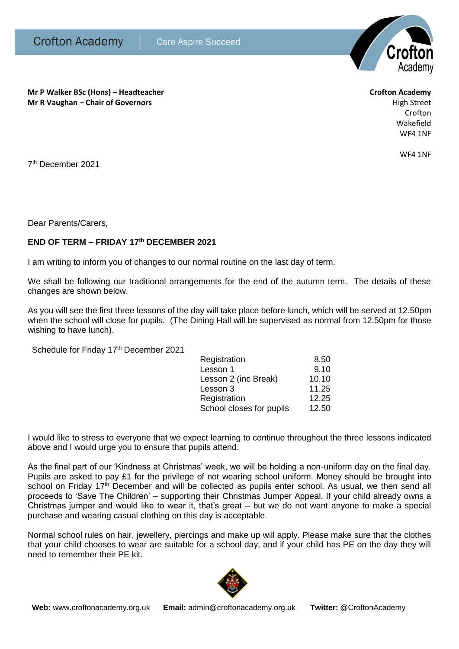

**Mr P Walker BSc (Hons) – Headteacher Crofton Academy Mr R Vaughan – Chair of Governors High Street High Street High Street High Street** 

Crofton Wakefield WF4 1NF

WF4 1NF

7 th December 2021

Dear Parents/Carers,

## **END OF TERM – FRIDAY 17th DECEMBER 2021**

I am writing to inform you of changes to our normal routine on the last day of term.

We shall be following our traditional arrangements for the end of the autumn term. The details of these changes are shown below.

As you will see the first three lessons of the day will take place before lunch, which will be served at 12.50pm when the school will close for pupils. (The Dining Hall will be supervised as normal from 12.50pm for those wishing to have lunch).

Schedule for Friday 17<sup>th</sup> December 2021

| Registration             | 8.50  |
|--------------------------|-------|
| Lesson 1                 | 9.10  |
| Lesson 2 (inc Break)     | 10.10 |
| Lesson 3                 | 11.25 |
| Registration             | 12.25 |
| School closes for pupils | 12.50 |

I would like to stress to everyone that we expect learning to continue throughout the three lessons indicated above and I would urge you to ensure that pupils attend.

As the final part of our 'Kindness at Christmas' week, we will be holding a non-uniform day on the final day. Pupils are asked to pay £1 for the privilege of not wearing school uniform. Money should be brought into school on Friday 17<sup>th</sup> December and will be collected as pupils enter school. As usual, we then send all proceeds to 'Save The Children' – supporting their Christmas Jumper Appeal. If your child already owns a Christmas jumper and would like to wear it, that's great – but we do not want anyone to make a special purchase and wearing casual clothing on this day is acceptable.

Normal school rules on hair, jewellery, piercings and make up will apply. Please make sure that the clothes that your child chooses to wear are suitable for a school day, and if your child has PE on the day they will need to remember their PE kit.